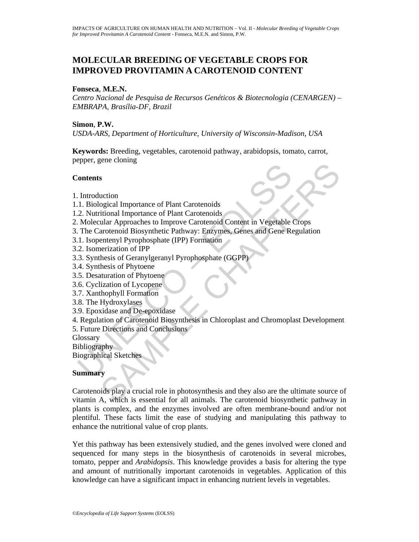# **MOLECULAR BREEDING OF VEGETABLE CROPS FOR IMPROVED PROVITAMIN A CAROTENOID CONTENT**

### **Fonseca**, **M.E.N.**

*Centro Nacional de Pesquisa de Recursos Genéticos & Biotecnologia (CENARGEN) – EMBRAPA, Brasília-DF, Brazil* 

## **Simon**, **P.W.**

*USDA-ARS, Department of Horticulture, University of Wisconsin-Madison, USA* 

**Keywords:** Breeding, vegetables, carotenoid pathway, arabidopsis, tomato, carrot, pepper, gene cloning

### **Contents**

- 1. Introduction
- 1.1. Biological Importance of Plant Carotenoids
- 1.2. Nutritional Importance of Plant Carotenoids
- 2. Molecular Approaches to Improve Carotenoid Content in Vegetable Crops
- Fortentian Entertainment<br>
1. Biological Importance of Plant Carotenoids<br>
2. Nutritional Importance of Plant Carotenoids<br>
2. Nutritional Importance of Plant Carotenoids<br>
2. Nutritional Biosynthetic Pathway: Enzymes, Genes a 3. The Carotenoid Biosynthetic Pathway: Enzymes, Genes and Gene Regulation
- 3.1. Isopentenyl Pyrophosphate (IPP) Formation
- 3.2. Isomerization of IPP
- 3.3. Synthesis of Geranylgeranyl Pyrophosphate (GGPP)
- 3.4. Synthesis of Phytoene
- 3.5. Desaturation of Phytoene
- 3.6. Cyclization of Lycopene
- 3.7. Xanthophyll Formation
- 3.8. The Hydroxylases
- 3.9. Epoxidase and De-epoxidase
- 4. Regulation of Carotenoid Biosynthesis in Chloroplast and Chromoplast Development
- 5. Future Directions and Conclusions
- **Glossary**
- **Bibliography**
- Biographical Sketches

## **Summary**

s<br>
s<br>
s<br>
cuction<br>
ogical Importance of Plant Carotenoids<br>
ular Approaches to Improve Carotenoid Content in Vegetable Crops<br>
and Chapter Chapter Chapter Carotenoid Content in Vegetable Crops<br>
arotenoid Biosynthetic Pathway: Carotenoids play a crucial role in photosynthesis and they also are the ultimate source of vitamin A, which is essential for all animals. The carotenoid biosynthetic pathway in plants is complex, and the enzymes involved are often membrane-bound and/or not plentiful. These facts limit the ease of studying and manipulating this pathway to enhance the nutritional value of crop plants.

Yet this pathway has been extensively studied, and the genes involved were cloned and sequenced for many steps in the biosynthesis of carotenoids in several microbes, tomato, pepper and *Arabidopsis*. This knowledge provides a basis for altering the type and amount of nutritionally important carotenoids in vegetables. Application of this knowledge can have a significant impact in enhancing nutrient levels in vegetables.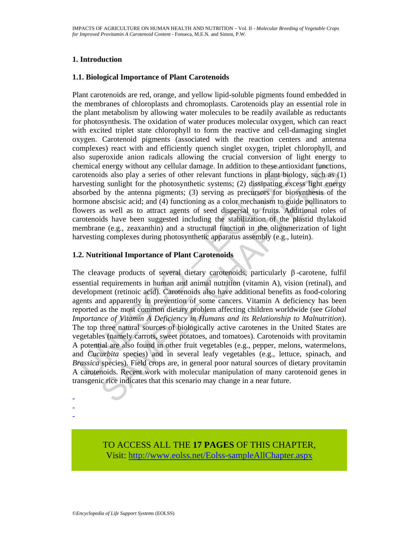## **1. Introduction**

## **1.1. Biological Importance of Plant Carotenoids**

Plant carotenoids are red, orange, and yellow lipid-soluble pigments found embedded in the membranes of chloroplasts and chromoplasts. Carotenoids play an essential role in the plant metabolism by allowing water molecules to be readily available as reductants for photosynthesis. The oxidation of water produces molecular oxygen, which can react with excited triplet state chlorophyll to form the reactive and cell-damaging singlet oxygen. Carotenoid pigments (associated with the reaction centers and antenna complexes) react with and efficiently quench singlet oxygen, triplet chlorophyll, and also superoxide anion radicals allowing the crucial conversion of light energy to chemical energy without any cellular damage. In addition to these antioxidant functions, carotenoids also play a series of other relevant functions in plant biology, such as (1) harvesting sunlight for the photosynthetic systems; (2) dissipating excess light energy absorbed by the antenna pigments; (3) serving as precursors for biosynthesis of the hormone abscisic acid; and (4) functioning as a color mechanism to guide pollinators to flowers as well as to attract agents of seed dispersal to fruits. Additional roles of carotenoids have been suggested including the stabilization of the plastid thylakoid membrane (e.g., zeaxanthin) and a structural function in the oligomerization of light harvesting complexes during photosynthetic apparatus assembly (e.g., lutein).

## **1.2. Nutritional Importance of Plant Carotenoids**

nemical energy without any cellular damage. In addition to these antic<br>arotenoids also play a series of other relevant functions in plant bio<br>arversting sunlight for the photosynthetic systems; (2) dissipating ex-<br>sysorbed energy without any cellular damage. In addition to these antioxidant function<br>ids also play a series of other relevant functions in plant biology, such as (<br>ide also play as series of other relevant functions in plant bio The cleavage products of several dietary carotenoids, particularly  $\beta$ -carotene, fulfil essential requirements in human and animal nutrition (vitamin A), vision (retinal), and development (retinoic acid). Carotenoids also have additional benefits as food-coloring agents and apparently in prevention of some cancers. Vitamin A deficiency has been reported as the most common dietary problem affecting children worldwide (see *Global Importance of Vitamin A Deficiency in Humans and its Relationship to Malnutrition*). The top three natural sources of biologically active carotenes in the United States are vegetables (namely carrots, sweet potatoes, and tomatoes). Carotenoids with provitamin A potential are also found in other fruit vegetables (e.g., pepper, melons, watermelons, and *Cucurbita* species) and in several leafy vegetables (e.g., lettuce, spinach, and *Brassica* species). Field crops are, in general poor natural sources of dietary provitamin A carotenoids. Recent work with molecular manipulation of many carotenoid genes in transgenic rice indicates that this scenario may change in a near future.

- - -

> TO ACCESS ALL THE **17 PAGES** OF THIS CHAPTER, Visi[t: http://www.eolss.net/Eolss-sampleAllChapter.aspx](https://www.eolss.net/ebooklib/sc_cart.aspx?File=E5-21-04-02)